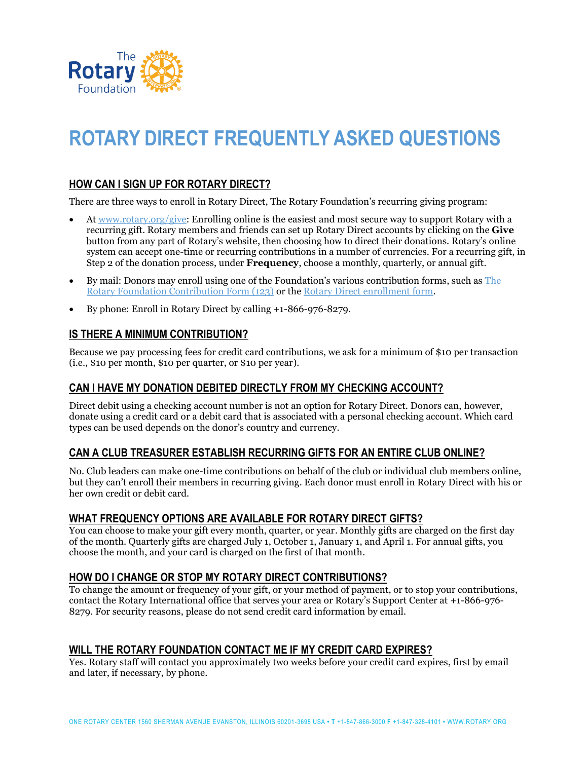

# **ROTARY DIRECT FREQUENTLY ASKED QUESTIONS**

## **HOW CAN I SIGN UP FOR ROTARY DIRECT?**

There are three ways to enroll in Rotary Direct, The Rotary Foundation's recurring giving program:

- A[t www.rotary.org/give:](http://www.rotary.org/give) Enrolling online is the easiest and most secure way to support Rotary with a recurring gift. Rotary members and friends can set up Rotary Direct accounts by clicking on the **Give** button from any part of Rotary's website, then choosing how to direct their donations. Rotary's online system can accept one-time or recurring contributions in a number of currencies. For a recurring gift, in Step 2 of the donation process, under **Frequency**, choose a monthly, quarterly, or annual gift.
- By mail: Donors may enroll using one of the Foundation's various contribution forms, such as [The](http://www.rotary.org/document/469)  [Rotary Foundation Contribution Form \(123\)](http://www.rotary.org/document/469) or the [Rotary Direct enrollment form.](http://www.rotary.org/myrotary/en/document/10951)
- By phone: Enroll in Rotary Direct by calling +1-866-976-8279.

#### **IS THERE A MINIMUM CONTRIBUTION?**

Because we pay processing fees for credit card contributions, we ask for a minimum of \$10 per transaction (i.e., \$10 per month, \$10 per quarter, or \$10 per year).

#### **CAN I HAVE MY DONATION DEBITED DIRECTLY FROM MY CHECKING ACCOUNT?**

Direct debit using a checking account number is not an option for Rotary Direct. Donors can, however, donate using a credit card or a debit card that is associated with a personal checking account. Which card types can be used depends on the donor's country and currency.

### **CAN A CLUB TREASURER ESTABLISH RECURRING GIFTS FOR AN ENTIRE CLUB ONLINE?**

No. Club leaders can make one-time contributions on behalf of the club or individual club members online, but they can't enroll their members in recurring giving. Each donor must enroll in Rotary Direct with his or her own credit or debit card.

#### **WHAT FREQUENCY OPTIONS ARE AVAILABLE FOR ROTARY DIRECT GIFTS?**

You can choose to make your gift every month, quarter, or year. Monthly gifts are charged on the first day of the month. Quarterly gifts are charged July 1, October 1, January 1, and April 1. For annual gifts, you choose the month, and your card is charged on the first of that month.

#### **HOW DO I CHANGE OR STOP MY ROTARY DIRECT CONTRIBUTIONS?**

To change the amount or frequency of your gift, or your method of payment, or to stop your contributions, contact the Rotary International office that serves your area or Rotary's Support Center at +1-866-976- 8279. For security reasons, please do not send credit card information by email.

#### **WILL THE ROTARY FOUNDATION CONTACT ME IF MY CREDIT CARD EXPIRES?**

Yes. Rotary staff will contact you approximately two weeks before your credit card expires, first by email and later, if necessary, by phone.